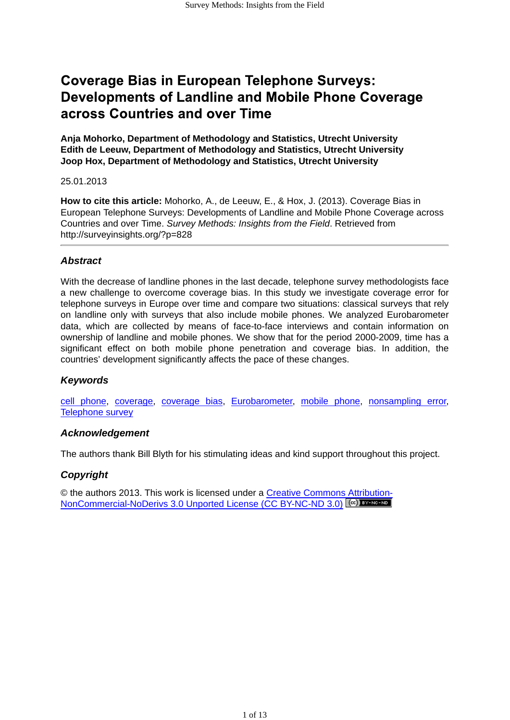# **Coverage Bias in European Telephone Surveys: Developments of Landline and Mobile Phone Coverage** across Countries and over Time

**Anja Mohorko, Department of Methodology and Statistics, Utrecht University Edith de Leeuw, Department of Methodology and Statistics, Utrecht University Joop Hox, Department of Methodology and Statistics, Utrecht University**

#### 25.01.2013

**How to cite this article:** Mohorko, A., de Leeuw, E., & Hox, J. (2013). Coverage Bias in European Telephone Surveys: Developments of Landline and Mobile Phone Coverage across Countries and over Time. *Survey Methods: Insights from the Field*. Retrieved from http://surveyinsights.org/?p=828

#### *Abstract*

With the decrease of landline phones in the last decade, telephone survey methodologists face a new challenge to overcome coverage bias. In this study we investigate coverage error for telephone surveys in Europe over time and compare two situations: classical surveys that rely on landline only with surveys that also include mobile phones. We analyzed Eurobarometer data, which are collected by means of face-to-face interviews and contain information on ownership of landline and mobile phones. We show that for the period 2000-2009, time has a significant effect on both mobile phone penetration and coverage bias. In addition, the countries' development significantly affects the pace of these changes.

#### *Keywords*

[cell phone](http://surveyinsights.org/?tag=cell-phone), [coverage,](http://surveyinsights.org/?tag=coverage) [coverage bias](http://surveyinsights.org/?tag=coverage-bias), [Eurobarometer,](http://surveyinsights.org/?tag=eurobarometer) [mobile phone,](http://surveyinsights.org/?tag=mobile-phone) [nonsampling error,](http://surveyinsights.org/?tag=nonsampling-error) [Telephone survey](http://surveyinsights.org/?tag=telephone-survey)

#### *Acknowledgement*

The authors thank Bill Blyth for his stimulating ideas and kind support throughout this project.

#### *Copyright*

[© the authors 2013. This work is licensed under a Creative Commons Attribution-](http://creativecommons.org/licenses/by-nc-nd/3.0/)NonCommercial-NoDerivs 3.0 Unported License (CC BY-NC-ND 3.0) [<sup>(cc)</sup> EY-NO-ND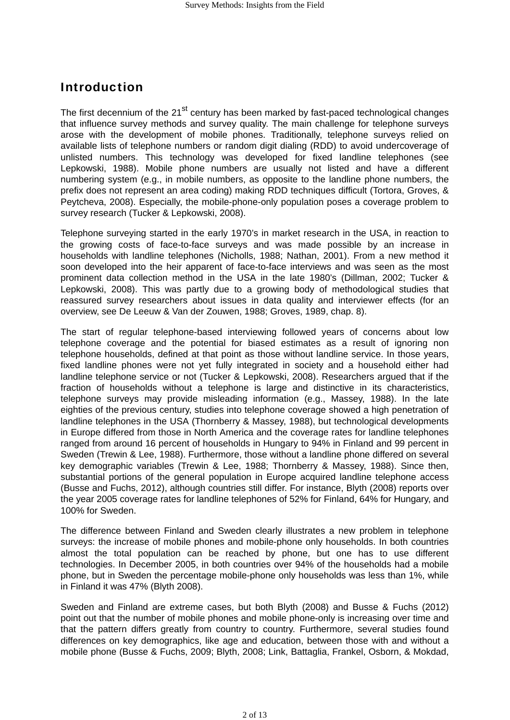## Introduction

The first decennium of the  $21<sup>st</sup>$  century has been marked by fast-paced technological changes that influence survey methods and survey quality. The main challenge for telephone surveys arose with the development of mobile phones. Traditionally, telephone surveys relied on available lists of telephone numbers or random digit dialing (RDD) to avoid undercoverage of unlisted numbers. This technology was developed for fixed landline telephones (see Lepkowski, 1988). Mobile phone numbers are usually not listed and have a different numbering system (e.g., in mobile numbers, as opposite to the landline phone numbers, the prefix does not represent an area coding) making RDD techniques difficult (Tortora, Groves, & Peytcheva, 2008). Especially, the mobile-phone-only population poses a coverage problem to survey research (Tucker & Lepkowski, 2008).

Telephone surveying started in the early 1970's in market research in the USA, in reaction to the growing costs of face-to-face surveys and was made possible by an increase in households with landline telephones (Nicholls, 1988; Nathan, 2001). From a new method it soon developed into the heir apparent of face-to-face interviews and was seen as the most prominent data collection method in the USA in the late 1980's (Dillman, 2002; Tucker & Lepkowski, 2008). This was partly due to a growing body of methodological studies that reassured survey researchers about issues in data quality and interviewer effects (for an overview, see De Leeuw & Van der Zouwen, 1988; Groves, 1989, chap. 8).

The start of regular telephone-based interviewing followed years of concerns about low telephone coverage and the potential for biased estimates as a result of ignoring non telephone households, defined at that point as those without landline service. In those years, fixed landline phones were not yet fully integrated in society and a household either had landline telephone service or not (Tucker & Lepkowski, 2008). Researchers argued that if the fraction of households without a telephone is large and distinctive in its characteristics, telephone surveys may provide misleading information (e.g., Massey, 1988). In the late eighties of the previous century, studies into telephone coverage showed a high penetration of landline telephones in the USA (Thornberry & Massey, 1988), but technological developments in Europe differed from those in North America and the coverage rates for landline telephones ranged from around 16 percent of households in Hungary to 94% in Finland and 99 percent in Sweden (Trewin & Lee, 1988). Furthermore, those without a landline phone differed on several key demographic variables (Trewin & Lee, 1988; Thornberry & Massey, 1988). Since then, substantial portions of the general population in Europe acquired landline telephone access (Busse and Fuchs, 2012), although countries still differ. For instance, Blyth (2008) reports over the year 2005 coverage rates for landline telephones of 52% for Finland, 64% for Hungary, and 100% for Sweden.

The difference between Finland and Sweden clearly illustrates a new problem in telephone surveys: the increase of mobile phones and mobile-phone only households. In both countries almost the total population can be reached by phone, but one has to use different technologies. In December 2005, in both countries over 94% of the households had a mobile phone, but in Sweden the percentage mobile-phone only households was less than 1%, while in Finland it was 47% (Blyth 2008).

Sweden and Finland are extreme cases, but both Blyth (2008) and Busse & Fuchs (2012) point out that the number of mobile phones and mobile phone-only is increasing over time and that the pattern differs greatly from country to country. Furthermore, several studies found differences on key demographics, like age and education, between those with and without a mobile phone (Busse & Fuchs, 2009; Blyth, 2008; Link, Battaglia, Frankel, Osborn, & Mokdad,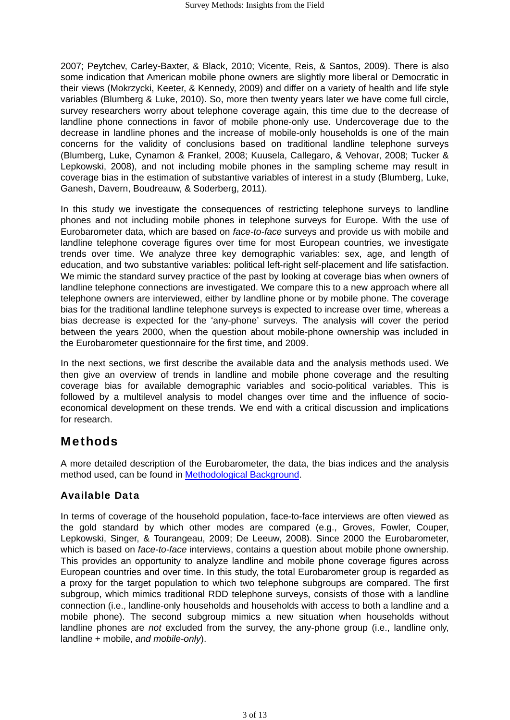2007; Peytchev, Carley-Baxter, & Black, 2010; Vicente, Reis, & Santos, 2009). There is also some indication that American mobile phone owners are slightly more liberal or Democratic in their views (Mokrzycki, Keeter, & Kennedy, 2009) and differ on a variety of health and life style variables (Blumberg & Luke, 2010). So, more then twenty years later we have come full circle, survey researchers worry about telephone coverage again, this time due to the decrease of landline phone connections in favor of mobile phone-only use. Undercoverage due to the decrease in landline phones and the increase of mobile-only households is one of the main concerns for the validity of conclusions based on traditional landline telephone surveys (Blumberg, Luke, Cynamon & Frankel, 2008; Kuusela, Callegaro, & Vehovar, 2008; Tucker & Lepkowski, 2008), and not including mobile phones in the sampling scheme may result in coverage bias in the estimation of substantive variables of interest in a study (Blumberg, Luke, Ganesh, Davern, Boudreauw, & Soderberg, 2011).

In this study we investigate the consequences of restricting telephone surveys to landline phones and not including mobile phones in telephone surveys for Europe. With the use of Eurobarometer data, which are based on *face-to-face* surveys and provide us with mobile and landline telephone coverage figures over time for most European countries, we investigate trends over time. We analyze three key demographic variables: sex, age, and length of education, and two substantive variables: political left-right self-placement and life satisfaction. We mimic the standard survey practice of the past by looking at coverage bias when owners of landline telephone connections are investigated. We compare this to a new approach where all telephone owners are interviewed, either by landline phone or by mobile phone. The coverage bias for the traditional landline telephone surveys is expected to increase over time, whereas a bias decrease is expected for the 'any-phone' surveys. The analysis will cover the period between the years 2000, when the question about mobile-phone ownership was included in the Eurobarometer questionnaire for the first time, and 2009.

In the next sections, we first describe the available data and the analysis methods used. We then give an overview of trends in landline and mobile phone coverage and the resulting coverage bias for available demographic variables and socio-political variables. This is followed by a multilevel analysis to model changes over time and the influence of socioeconomical development on these trends. We end with a critical discussion and implications for research.

## Methods

A more detailed description of the Eurobarometer, the data, the bias indices and the analysis method used, can be found in [Methodological Background](http://surveyinsights.org/wp-content/uploads/2013/01/Methodological_Background.pdf).

### Available Data

In terms of coverage of the household population, face-to-face interviews are often viewed as the gold standard by which other modes are compared (e.g., Groves, Fowler, Couper, Lepkowski, Singer, & Tourangeau, 2009; De Leeuw, 2008). Since 2000 the Eurobarometer, which is based on *face-to-face* interviews, contains a question about mobile phone ownership. This provides an opportunity to analyze landline and mobile phone coverage figures across European countries and over time. In this study, the total Eurobarometer group is regarded as a proxy for the target population to which two telephone subgroups are compared. The first subgroup, which mimics traditional RDD telephone surveys, consists of those with a landline connection (i.e., landline-only households and households with access to both a landline and a mobile phone). The second subgroup mimics a new situation when households without landline phones are *not* excluded from the survey, the any-phone group (i.e., landline only, landline + mobile, *and mobile-only*).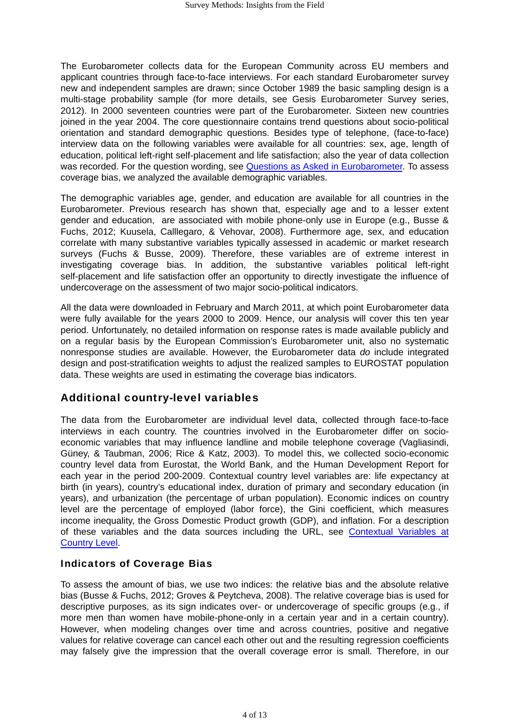The Eurobarometer collects data for the European Community across EU members and applicant countries through face-to-face interviews. For each standard Eurobarometer survey new and independent samples are drawn; since October 1989 the basic sampling design is a multi-stage probability sample (for more details, see Gesis Eurobarometer Survey series, 2012). In 2000 seventeen countries were part of the Eurobarometer. Sixteen new countries joined in the year 2004. The core questionnaire contains trend questions about socio-political orientation and standard demographic questions. Besides type of telephone, (face-to-face) interview data on the following variables were available for all countries: sex, age, length of education, political left-right self-placement and life satisfaction; also the year of data collection was recorded. For the question wording, see [Questions as Asked in Eurobarometer.](http://surveyinsights.org/wp-content/uploads/2013/01/Questions_as_Asked_in_Eurobarometer.pdf) To assess coverage bias, we analyzed the available demographic variables.

The demographic variables age, gender, and education are available for all countries in the Eurobarometer. Previous research has shown that, especially age and to a lesser extent gender and education, are associated with mobile phone-only use in Europe (e.g., Busse & Fuchs, 2012; Kuusela, Calllegaro, & Vehovar, 2008). Furthermore age, sex, and education correlate with many substantive variables typically assessed in academic or market research surveys (Fuchs & Busse, 2009). Therefore, these variables are of extreme interest in investigating coverage bias. In addition, the substantive variables political left-right self-placement and life satisfaction offer an opportunity to directly investigate the influence of undercoverage on the assessment of two major socio-political indicators.

All the data were downloaded in February and March 2011, at which point Eurobarometer data were fully available for the years 2000 to 2009. Hence, our analysis will cover this ten year period. Unfortunately, no detailed information on response rates is made available publicly and on a regular basis by the European Commission's Eurobarometer unit, also no systematic nonresponse studies are available. However, the Eurobarometer data *do* include integrated design and post-stratification weights to adjust the realized samples to EUROSTAT population data. These weights are used in estimating the coverage bias indicators.

### Additional country-level variables

The data from the Eurobarometer are individual level data, collected through face-to-face interviews in each country. The countries involved in the Eurobarometer differ on socioeconomic variables that may influence landline and mobile telephone coverage (Vagliasindi, Güney, & Taubman, 2006; Rice & Katz, 2003). To model this, we collected socio-economic country level data from Eurostat, the World Bank, and the Human Development Report for each year in the period 200-2009. Contextual country level variables are: life expectancy at birth (in years), country's educational index, duration of primary and secondary education (in years), and urbanization (the percentage of urban population). Economic indices on country level are the percentage of employed (labor force), the Gini coefficient, which measures income inequality, the Gross Domestic Product growth (GDP), and inflation. For a description [of these variables and the data sources including the URL, see Contextual Variables at](http://surveyinsights.org/wp-content/uploads/2013/01/Contextual_Variables_at_Country_Level.pdf) Country Level.

#### Indicators of Coverage Bias

To assess the amount of bias, we use two indices: the relative bias and the absolute relative bias (Busse & Fuchs, 2012; Groves & Peytcheva, 2008). The relative coverage bias is used for descriptive purposes, as its sign indicates over- or undercoverage of specific groups (e.g., if more men than women have mobile-phone-only in a certain year and in a certain country). However, when modeling changes over time and across countries, positive and negative values for relative coverage can cancel each other out and the resulting regression coefficients may falsely give the impression that the overall coverage error is small. Therefore, in our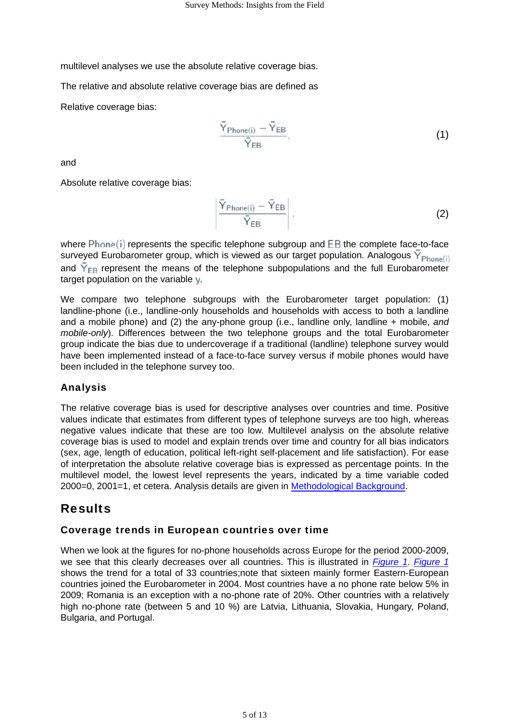<span id="page-4-0"></span>multilevel analyses we use the absolute relative coverage bias.

The relative and absolute relative coverage bias are defined as

Relative coverage bias:

$$
\frac{\overline{Y}_{\text{Phone}(i)} - \overline{Y}_{\text{EB}}}{\overline{Y}_{\text{EB}}},\tag{1}
$$

and

Absolute relative coverage bias:

$$
\left.\frac{\bar{Y}_{\text{Phone}(i)} - \bar{Y}_{\text{EB}}}{\bar{Y}_{\text{EB}}}\right|,\tag{2}
$$

where  $Phone(i)$  represents the specific telephone subgroup and  $EB$  the complete face-to-face surveyed Eurobarometer group, which is viewed as our target population. Analogous  $\bar{Y}_{Phone(i)}$ and  $\bar{Y}_{FB}$  represent the means of the telephone subpopulations and the full Eurobarometer target population on the variable y.

We compare two telephone subgroups with the Eurobarometer target population: (1) landline-phone (i.e., landline-only households and households with access to both a landline and a mobile phone) and (2) the any-phone group (i.e., landline only, landline + mobile, *and mobile-only*). Differences between the two telephone groups and the total Eurobarometer group indicate the bias due to undercoverage if a traditional (landline) telephone survey would have been implemented instead of a face-to-face survey versus if mobile phones would have been included in the telephone survey too.

#### Analysis

The relative coverage bias is used for descriptive analyses over countries and time. Positive values indicate that estimates from different types of telephone surveys are too high, whereas negative values indicate that these are too low. Multilevel analysis on the absolute relative coverage bias is used to model and explain trends over time and country for all bias indicators (sex, age, length of education, political left-right self-placement and life satisfaction). For ease of interpretation the absolute relative coverage bias is expressed as percentage points. In the multilevel model, the lowest level represents the years, indicated by a time variable coded 2000=0, 2001=1, et cetera. Analysis details are given in [Methodological Background](http://surveyinsights.org/wp-content/uploads/2013/01/Methodological_Background.pdf).

## Results

#### Coverage trends in European countries over time

When we look at the figures for no-phone households across Europe for the period 2000-2009, we see that this clearly decreases over all countries. This is illustrated in *[Figure 1](#page-5-0)*. *[Figure 1](#page-5-0)* shows the trend for a total of 33 countries;note that sixteen mainly former Eastern-European countries joined the Eurobarometer in 2004. Most countries have a no phone rate below 5% in 2009; Romania is an exception with a no-phone rate of 20%. Other countries with a relatively high no-phone rate (between 5 and 10 %) are Latvia, Lithuania, Slovakia, Hungary, Poland, Bulgaria, and Portugal.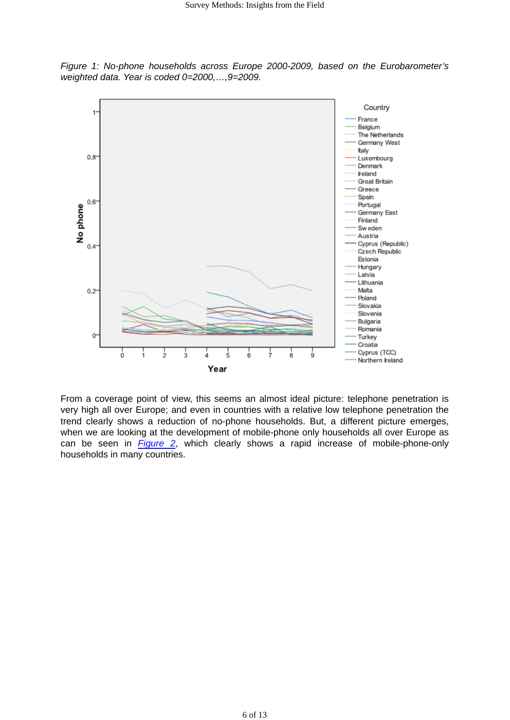<span id="page-5-0"></span>*Figure 1: No-phone households across Europe 2000-2009, based on the Eurobarometer's weighted data. Year is coded 0=2000,…,9=2009.*



From a coverage point of view, this seems an almost ideal picture: telephone penetration is very high all over Europe; and even in countries with a relative low telephone penetration the trend clearly shows a reduction of no-phone households. But, a different picture emerges, when we are looking at the development of mobile-phone only households all over Europe as can be seen in *[Figure 2](#page-6-0)*, which clearly shows a rapid increase of mobile-phone-only households in many countries.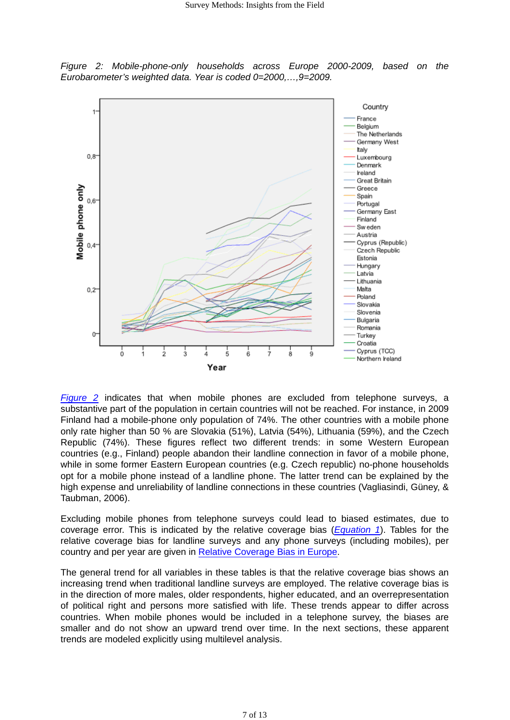<span id="page-6-0"></span>*Figure 2: Mobile-phone-only households across Europe 2000-2009, based on the Eurobarometer's weighted data. Year is coded 0=2000,…,9=2009.*



*Figure 2* indicates that when mobile phones are excluded from telephone surveys, a substantive part of the population in certain countries will not be reached. For instance, in 2009 Finland had a mobile-phone only population of 74%. The other countries with a mobile phone only rate higher than 50 % are Slovakia (51%), Latvia (54%), Lithuania (59%), and the Czech Republic (74%). These figures reflect two different trends: in some Western European countries (e.g., Finland) people abandon their landline connection in favor of a mobile phone, while in some former Eastern European countries (e.g. Czech republic) no-phone households opt for a mobile phone instead of a landline phone. The latter trend can be explained by the high expense and unreliability of landline connections in these countries (Vagliasindi, Güney, & Taubman, 2006).

Excluding mobile phones from telephone surveys could lead to biased estimates, due to coverage error. This is indicated by the relative coverage bias (*[Equation 1](#page-4-0)*). Tables for the relative coverage bias for landline surveys and any phone surveys (including mobiles), per country and per year are given in [Relative Coverage Bias in Europe.](http://surveyinsights.org/wp-content/uploads/2013/01/Relative_coverage_bias_in_Europe.pdf)

The general trend for all variables in these tables is that the relative coverage bias shows an increasing trend when traditional landline surveys are employed. The relative coverage bias is in the direction of more males, older respondents, higher educated, and an overrepresentation of political right and persons more satisfied with life. These trends appear to differ across countries. When mobile phones would be included in a telephone survey, the biases are smaller and do not show an upward trend over time. In the next sections, these apparent trends are modeled explicitly using multilevel analysis.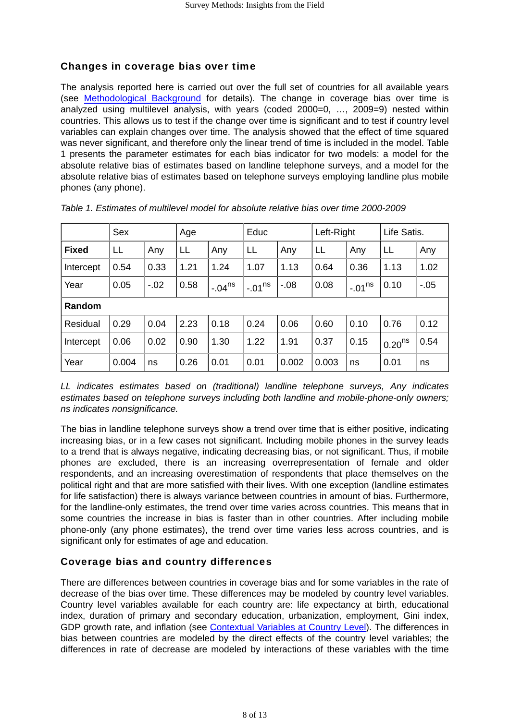### Changes in coverage bias over time

The analysis reported here is carried out over the full set of countries for all available years (see [Methodological Background](http://surveyinsights.org/wp-content/uploads/2013/01/Methodological_Background.pdf) for details). The change in coverage bias over time is analyzed using multilevel analysis, with years (coded 2000=0, …, 2009=9) nested within countries. This allows us to test if the change over time is significant and to test if country level variables can explain changes over time. The analysis showed that the effect of time squared was never significant, and therefore only the linear trend of time is included in the model. Table 1 presents the parameter estimates for each bias indicator for two models: a model for the absolute relative bias of estimates based on landline telephone surveys, and a model for the absolute relative bias of estimates based on telephone surveys employing landline plus mobile phones (any phone).

|              | Sex   |       | Age  |             | Educ          |         | Left-Right |          | Life Satis.        |         |
|--------------|-------|-------|------|-------------|---------------|---------|------------|----------|--------------------|---------|
| <b>Fixed</b> | LL    | Any   | LL   | Any         | LL            | Any     | LL         | Any      | LL                 | Any     |
| Intercept    | 0.54  | 0.33  | 1.21 | 1.24        | 1.07          | 1.13    | 0.64       | 0.36     | 1.13               | 1.02    |
| Year         | 0.05  | $-02$ | 0.58 | $-.04^{ns}$ | $1 - 01^{ns}$ | $-0.08$ | 0.08       | $-.01ns$ | 0.10               | $-0.05$ |
| Random       |       |       |      |             |               |         |            |          |                    |         |
| Residual     | 0.29  | 0.04  | 2.23 | 0.18        | 0.24          | 0.06    | 0.60       | 0.10     | 0.76               | 0.12    |
| Intercept    | 0.06  | 0.02  | 0.90 | 1.30        | 1.22          | 1.91    | 0.37       | 0.15     | 0.20 <sup>ns</sup> | 0.54    |
| Year         | 0.004 | ns    | 0.26 | 0.01        | 0.01          | 0.002   | 0.003      | ns       | 0.01               | ns      |

|  |  |  |  | Table 1. Estimates of multilevel model for absolute relative bias over time 2000-2009 |  |  |  |  |
|--|--|--|--|---------------------------------------------------------------------------------------|--|--|--|--|
|--|--|--|--|---------------------------------------------------------------------------------------|--|--|--|--|

*LL indicates estimates based on (traditional) landline telephone surveys, Any indicates estimates based on telephone surveys including both landline and mobile-phone-only owners; ns indicates nonsignificance.*

The bias in landline telephone surveys show a trend over time that is either positive, indicating increasing bias, or in a few cases not significant. Including mobile phones in the survey leads to a trend that is always negative, indicating decreasing bias, or not significant. Thus, if mobile phones are excluded, there is an increasing overrepresentation of female and older respondents, and an increasing overestimation of respondents that place themselves on the political right and that are more satisfied with their lives. With one exception (landline estimates for life satisfaction) there is always variance between countries in amount of bias. Furthermore, for the landline-only estimates, the trend over time varies across countries. This means that in some countries the increase in bias is faster than in other countries. After including mobile phone-only (any phone estimates), the trend over time varies less across countries, and is significant only for estimates of age and education.

#### Coverage bias and country differences

There are differences between countries in coverage bias and for some variables in the rate of decrease of the bias over time. These differences may be modeled by country level variables. Country level variables available for each country are: life expectancy at birth, educational index, duration of primary and secondary education, urbanization, employment, Gini index, GDP growth rate, and inflation (see [Contextual Variables at Country Level\)](http://surveyinsights.org/wp-content/uploads/2013/01/Contextual_Variables_at_Country_Level.pdf). The differences in bias between countries are modeled by the direct effects of the country level variables; the differences in rate of decrease are modeled by interactions of these variables with the time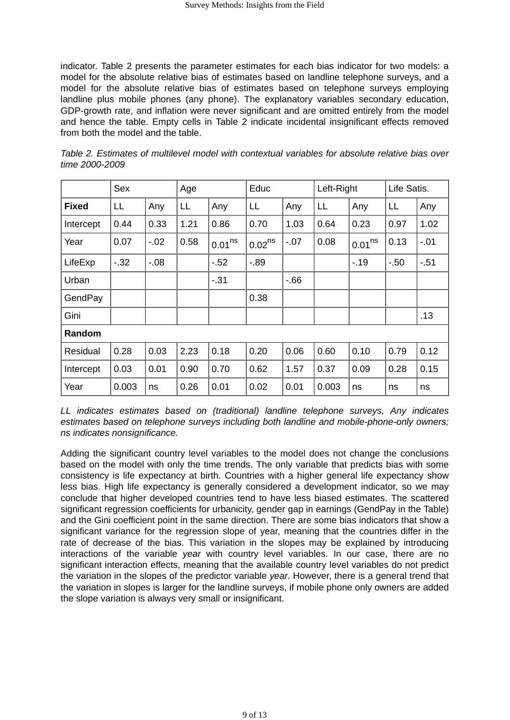indicator. Table 2 presents the parameter estimates for each bias indicator for two models: a model for the absolute relative bias of estimates based on landline telephone surveys, and a model for the absolute relative bias of estimates based on telephone surveys employing landline plus mobile phones (any phone). The explanatory variables secondary education, GDP-growth rate, and inflation were never significant and are omitted entirely from the model and hence the table. Empty cells in Table 2 indicate incidental insignificant effects removed from both the model and the table.

|              | Sex   |         | Age  |                    | Educ        |        | Left-Right |                    | Life Satis. |       |
|--------------|-------|---------|------|--------------------|-------------|--------|------------|--------------------|-------------|-------|
| <b>Fixed</b> | LL    | Any     | LL   | Any                | LL          | Any    | LL         | Any                | LL          | Any   |
| Intercept    | 0.44  | 0.33    | 1.21 | 0.86               | 0.70        | 1.03   | 0.64       | 0.23               | 0.97        | 1.02  |
| Year         | 0.07  | $-02$   | 0.58 | 0.01 <sup>ns</sup> | $0.02^{ns}$ | $-.07$ | 0.08       | 0.01 <sup>ns</sup> | 0.13        | $-01$ |
| LifeExp      | $-32$ | $-0.08$ |      | $-52$              | $-0.89$     |        |            | $-19$              | $-50$       | $-51$ |
| Urban        |       |         |      | $-31$              |             | $-66$  |            |                    |             |       |
| GendPay      |       |         |      |                    | 0.38        |        |            |                    |             |       |
| Gini         |       |         |      |                    |             |        |            |                    |             | .13   |
| Random       |       |         |      |                    |             |        |            |                    |             |       |
| Residual     | 0.28  | 0.03    | 2.23 | 0.18               | 0.20        | 0.06   | 0.60       | 0.10               | 0.79        | 0.12  |
| Intercept    | 0.03  | 0.01    | 0.90 | 0.70               | 0.62        | 1.57   | 0.37       | 0.09               | 0.28        | 0.15  |
| Year         | 0.003 | ns      | 0.26 | 0.01               | 0.02        | 0.01   | 0.003      | ns                 | ns          | ns    |

*Table 2. Estimates of multilevel model with contextual variables for absolute relative bias over time 2000-2009*

*LL indicates estimates based on (traditional) landline telephone surveys, Any indicates estimates based on telephone surveys including both landline and mobile-phone-only owners; ns indicates nonsignificance.*

Adding the significant country level variables to the model does not change the conclusions based on the model with only the time trends. The only variable that predicts bias with some consistency is life expectancy at birth. Countries with a higher general life expectancy show less bias. High life expectancy is generally considered a development indicator, so we may conclude that higher developed countries tend to have less biased estimates. The scattered significant regression coefficients for urbanicity, gender gap in earnings (GendPay in the Table) and the Gini coefficient point in the same direction. There are some bias indicators that show a significant variance for the regression slope of year, meaning that the countries differ in the rate of decrease of the bias. This variation in the slopes may be explained by introducing interactions of the variable *year* with country level variables. In our case, there are no significant interaction effects, meaning that the available country level variables do not predict the variation in the slopes of the predictor variable *year*. However, there is a general trend that the variation in slopes is larger for the landline surveys, if mobile phone only owners are added the slope variation is always very small or insignificant.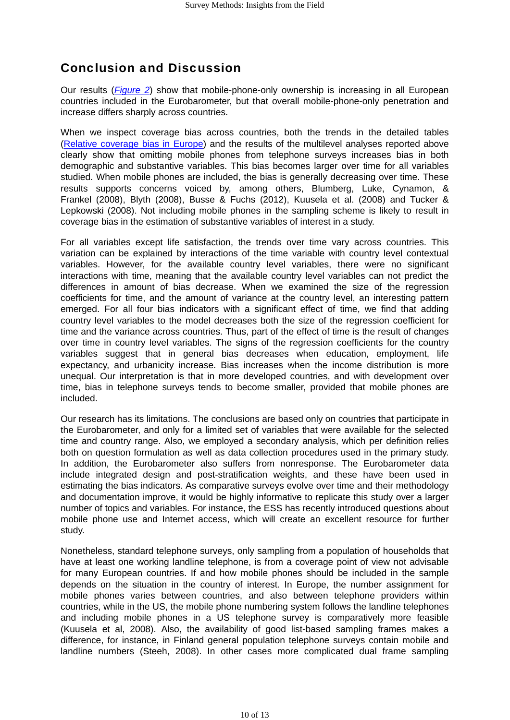## Conclusion and Discussion

Our results (*[Figure 2](#page-6-0)*) show that mobile-phone-only ownership is increasing in all European countries included in the Eurobarometer, but that overall mobile-phone-only penetration and increase differs sharply across countries.

When we inspect coverage bias across countries, both the trends in the detailed tables [\(Relative coverage bias in Europe\)](http://surveyinsights.org/wp-content/uploads/2013/01/Relative_coverage_bias_in_Europe.pdf) and the results of the multilevel analyses reported above clearly show that omitting mobile phones from telephone surveys increases bias in both demographic and substantive variables. This bias becomes larger over time for all variables studied. When mobile phones are included, the bias is generally decreasing over time. These results supports concerns voiced by, among others, Blumberg, Luke, Cynamon, & Frankel (2008), Blyth (2008), Busse & Fuchs (2012), Kuusela et al. (2008) and Tucker & Lepkowski (2008). Not including mobile phones in the sampling scheme is likely to result in coverage bias in the estimation of substantive variables of interest in a study.

For all variables except life satisfaction, the trends over time vary across countries. This variation can be explained by interactions of the time variable with country level contextual variables. However, for the available country level variables, there were no significant interactions with time, meaning that the available country level variables can not predict the differences in amount of bias decrease. When we examined the size of the regression coefficients for time, and the amount of variance at the country level, an interesting pattern emerged. For all four bias indicators with a significant effect of time, we find that adding country level variables to the model decreases both the size of the regression coefficient for time and the variance across countries. Thus, part of the effect of time is the result of changes over time in country level variables. The signs of the regression coefficients for the country variables suggest that in general bias decreases when education, employment, life expectancy, and urbanicity increase. Bias increases when the income distribution is more unequal. Our interpretation is that in more developed countries, and with development over time, bias in telephone surveys tends to become smaller, provided that mobile phones are included.

Our research has its limitations. The conclusions are based only on countries that participate in the Eurobarometer, and only for a limited set of variables that were available for the selected time and country range. Also, we employed a secondary analysis, which per definition relies both on question formulation as well as data collection procedures used in the primary study. In addition, the Eurobarometer also suffers from nonresponse. The Eurobarometer data include integrated design and post-stratification weights, and these have been used in estimating the bias indicators. As comparative surveys evolve over time and their methodology and documentation improve, it would be highly informative to replicate this study over a larger number of topics and variables. For instance, the ESS has recently introduced questions about mobile phone use and Internet access, which will create an excellent resource for further study.

Nonetheless, standard telephone surveys, only sampling from a population of households that have at least one working landline telephone, is from a coverage point of view not advisable for many European countries. If and how mobile phones should be included in the sample depends on the situation in the country of interest. In Europe, the number assignment for mobile phones varies between countries, and also between telephone providers within countries, while in the US, the mobile phone numbering system follows the landline telephones and including mobile phones in a US telephone survey is comparatively more feasible (Kuusela et al, 2008). Also, the availability of good list-based sampling frames makes a difference, for instance, in Finland general population telephone surveys contain mobile and landline numbers (Steeh, 2008). In other cases more complicated dual frame sampling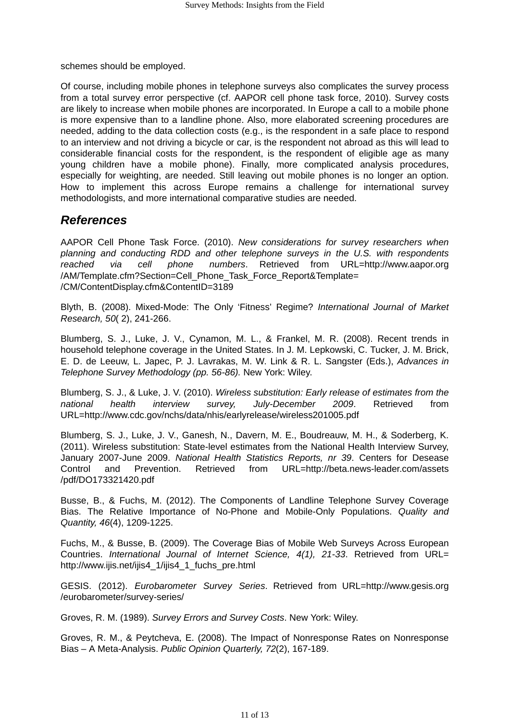schemes should be employed.

Of course, including mobile phones in telephone surveys also complicates the survey process from a total survey error perspective (cf. AAPOR cell phone task force, 2010). Survey costs are likely to increase when mobile phones are incorporated. In Europe a call to a mobile phone is more expensive than to a landline phone. Also, more elaborated screening procedures are needed, adding to the data collection costs (e.g., is the respondent in a safe place to respond to an interview and not driving a bicycle or car, is the respondent not abroad as this will lead to considerable financial costs for the respondent, is the respondent of eligible age as many young children have a mobile phone). Finally, more complicated analysis procedures, especially for weighting, are needed. Still leaving out mobile phones is no longer an option. How to implement this across Europe remains a challenge for international survey methodologists, and more international comparative studies are needed.

### *References*

AAPOR Cell Phone Task Force. (2010). *New considerations for survey researchers when planning and conducting RDD and other telephone surveys in the U.S. with respondents reached via cell phone numbers*. Retrieved from URL=http://www.aapor.org /AM/Template.cfm?Section=Cell\_Phone\_Task\_Force\_Report&Template= /CM/ContentDisplay.cfm&ContentID=3189

Blyth, B. (2008). Mixed-Mode: The Only 'Fitness' Regime? *International Journal of Market Research, 50*( 2), 241-266.

Blumberg, S. J., Luke, J. V., Cynamon, M. L., & Frankel, M. R. (2008). Recent trends in household telephone coverage in the United States. In J. M. Lepkowski, C. Tucker, J. M. Brick, E. D. de Leeuw, L. Japec, P. J. Lavrakas, M. W. Link & R. L. Sangster (Eds.), *Advances in Telephone Survey Methodology (pp. 56-86).* New York: Wiley.

Blumberg, S. J., & Luke, J. V. (2010). *Wireless substitution: Early release of estimates from the national health interview survey, July-December 2009*. Retrieved from URL=http://www.cdc.gov/nchs/data/nhis/earlyrelease/wireless201005.pdf

Blumberg, S. J., Luke, J. V., Ganesh, N., Davern, M. E., Boudreauw, M. H., & Soderberg, K. (2011). Wireless substitution: State-level estimates from the National Health Interview Survey, January 2007-June 2009. *National Health Statistics Reports, nr 39*. Centers for Desease Control and Prevention. Retrieved from URL=http://beta.news-leader.com/assets /pdf/DO173321420.pdf

Busse, B., & Fuchs, M. (2012). The Components of Landline Telephone Survey Coverage Bias. The Relative Importance of No-Phone and Mobile-Only Populations. *Quality and Quantity, 46*(4), 1209-1225.

Fuchs, M., & Busse, B. (2009). The Coverage Bias of Mobile Web Surveys Across European Countries. *International Journal of Internet Science, 4(1), 21-33*. Retrieved from URL= http://www.ijis.net/ijis4\_1/ijis4\_1\_fuchs\_pre.html

GESIS. (2012). *Eurobarometer Survey Series*. Retrieved from URL=http://www.gesis.org /eurobarometer/survey-series/

Groves, R. M. (1989). *Survey Errors and Survey Costs*. New York: Wiley.

Groves, R. M., & Peytcheva, E. (2008). The Impact of Nonresponse Rates on Nonresponse Bias – A Meta-Analysis. *Public Opinion Quarterly, 72*(2), 167-189.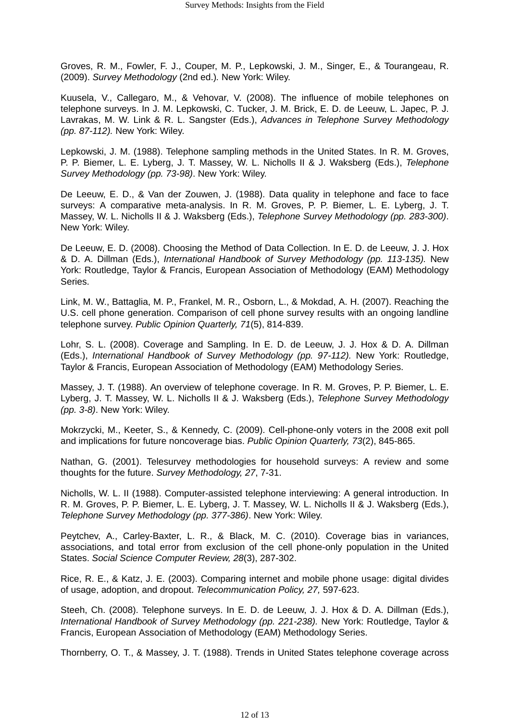Groves, R. M., Fowler, F. J., Couper, M. P., Lepkowski, J. M., Singer, E., & Tourangeau, R. (2009). *Survey Methodology* (2nd ed.)*.* New York: Wiley.

Kuusela, V., Callegaro, M., & Vehovar, V. (2008). The influence of mobile telephones on telephone surveys. In J. M. Lepkowski, C. Tucker, J. M. Brick, E. D. de Leeuw, L. Japec, P. J. Lavrakas, M. W. Link & R. L. Sangster (Eds.), *Advances in Telephone Survey Methodology (pp. 87-112).* New York: Wiley.

Lepkowski, J. M. (1988). Telephone sampling methods in the United States. In R. M. Groves, P. P. Biemer, L. E. Lyberg, J. T. Massey, W. L. Nicholls II & J. Waksberg (Eds.), *Telephone Survey Methodology (pp. 73-98)*. New York: Wiley.

De Leeuw, E. D., & Van der Zouwen, J. (1988). Data quality in telephone and face to face surveys: A comparative meta-analysis. In R. M. Groves, P. P. Biemer, L. E. Lyberg, J. T. Massey, W. L. Nicholls II & J. Waksberg (Eds.), *Telephone Survey Methodology (pp. 283-300)*. New York: Wiley.

De Leeuw, E. D. (2008). Choosing the Method of Data Collection. In E. D. de Leeuw, J. J. Hox & D. A. Dillman (Eds.), *International Handbook of Survey Methodology (pp. 113-135).* New York: Routledge, Taylor & Francis, European Association of Methodology (EAM) Methodology Series.

Link, M. W., Battaglia, M. P., Frankel, M. R., Osborn, L., & Mokdad, A. H. (2007). Reaching the U.S. cell phone generation. Comparison of cell phone survey results with an ongoing landline telephone survey. *Public Opinion Quarterly, 71*(5), 814-839.

Lohr, S. L. (2008). Coverage and Sampling. In E. D. de Leeuw, J. J. Hox & D. A. Dillman (Eds.), *International Handbook of Survey Methodology (pp. 97-112).* New York: Routledge, Taylor & Francis, European Association of Methodology (EAM) Methodology Series.

Massey, J. T. (1988). An overview of telephone coverage. In R. M. Groves, P. P. Biemer, L. E. Lyberg, J. T. Massey, W. L. Nicholls II & J. Waksberg (Eds.), *Telephone Survey Methodology (pp. 3-8)*. New York: Wiley.

Mokrzycki, M., Keeter, S., & Kennedy, C. (2009). Cell-phone-only voters in the 2008 exit poll and implications for future noncoverage bias. *Public Opinion Quarterly, 73*(2), 845-865.

Nathan, G. (2001). Telesurvey methodologies for household surveys: A review and some thoughts for the future. *Survey Methodology, 27*, 7-31.

Nicholls, W. L. II (1988). Computer-assisted telephone interviewing: A general introduction. In R. M. Groves, P. P. Biemer, L. E. Lyberg, J. T. Massey, W. L. Nicholls II & J. Waksberg (Eds.), *Telephone Survey Methodology (pp. 377-386)*. New York: Wiley.

Peytchev, A., Carley-Baxter, L. R., & Black, M. C. (2010). Coverage bias in variances, associations, and total error from exclusion of the cell phone-only population in the United States. *Social Science Computer Review, 28*(3), 287-302.

Rice, R. E., & Katz, J. E. (2003). Comparing internet and mobile phone usage: digital divides of usage, adoption, and dropout. *Telecommunication Policy, 27,* 597-623.

Steeh, Ch. (2008). Telephone surveys. In E. D. de Leeuw, J. J. Hox & D. A. Dillman (Eds.), *International Handbook of Survey Methodology (pp. 221-238).* New York: Routledge, Taylor & Francis, European Association of Methodology (EAM) Methodology Series.

Thornberry, O. T., & Massey, J. T. (1988). Trends in United States telephone coverage across